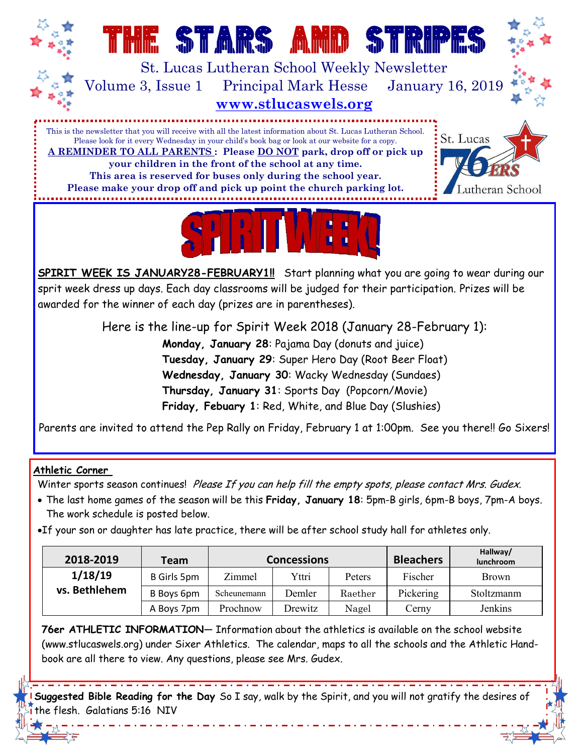**THE STARS AND STRIPES AND STRIPES AND STRIPES AND STRIPES AND STRIPES AND STRIPES AND STRIPES AND STRIPES AND** St. Lucas Lutheran School Weekly Newsletter Volume 3, Issue 1 Principal Mark Hesse January 16, 2019 **www.stlucaswels.org**

This is the newsletter that you will receive with all the latest information about St. Lucas Lutheran School. Please look for it every Wednesday in your child's book bag or look at our website for a copy. **A REMINDER TO ALL PARENTS : Please DO NOT park, drop off or pick up your children in the front of the school at any time. This area is reserved for buses only during the school year.** 

**Please make your drop off and pick up point the church parking lot.**





**SPIRIT WEEK IS JANUARY28-FEBRUARY1!!** Start planning what you are going to wear during our sprit week dress up days. Each day classrooms will be judged for their participation. Prizes will be awarded for the winner of each day (prizes are in parentheses).

> Here is the line-up for Spirit Week 2018 (January 28-February 1): **Monday, January 28**: Pajama Day (donuts and juice) **Tuesday, January 29**: Super Hero Day (Root Beer Float) **Wednesday, January 30**: Wacky Wednesday (Sundaes) **Thursday, January 31**: Sports Day (Popcorn/Movie) **Friday, Febuary 1**: Red, White, and Blue Day (Slushies)

Parents are invited to attend the Pep Rally on Friday, February 1 at 1:00pm. See you there!! Go Sixers!

## **Athletic Corner**

Winter sports season continues! Please If you can help fill the empty spots, please contact Mrs. Gudex.

- The last home games of the season will be this **Friday, January 18**: 5pm-B girls, 6pm-B boys, 7pm-A boys. The work schedule is posted below.
- If your son or daughter has late practice, there will be after school study hall for athletes only.

| 2018-2019     | Team        | <b>Concessions</b> |         |         | <b>Bleachers</b> | Hallway/<br>lunchroom |
|---------------|-------------|--------------------|---------|---------|------------------|-----------------------|
| 1/18/19       | B Girls 5pm | Zimmel             | Yttri   | Peters  | Fischer          | <b>Brown</b>          |
| vs. Bethlehem | B Boys 6pm  | Scheunemann        | Demler  | Raether | Pickering        | Stoltzmanm            |
|               | A Boys 7pm  | Prochnow           | Drewitz | Nagel   | Cerny            | Jenkins               |

**76er ATHLETIC INFORMATION**— Information about the athletics is available on the school website (www.stlucaswels.org) under Sixer Athletics. The calendar, maps to all the schools and the Athletic Handbook are all there to view. Any questions, please see Mrs. Gudex.

**Suggested Bible Reading for the Day** So I say, walk by the Spirit, and you will not gratify the desires of the flesh. [Galatians 5:16](https://www.biblegateway.com/passage/?version=NIV&search=Galatians%205:16) [NIV](https://www.biblegateway.com/versions/index.php?action=getVersionInfo&vid=31)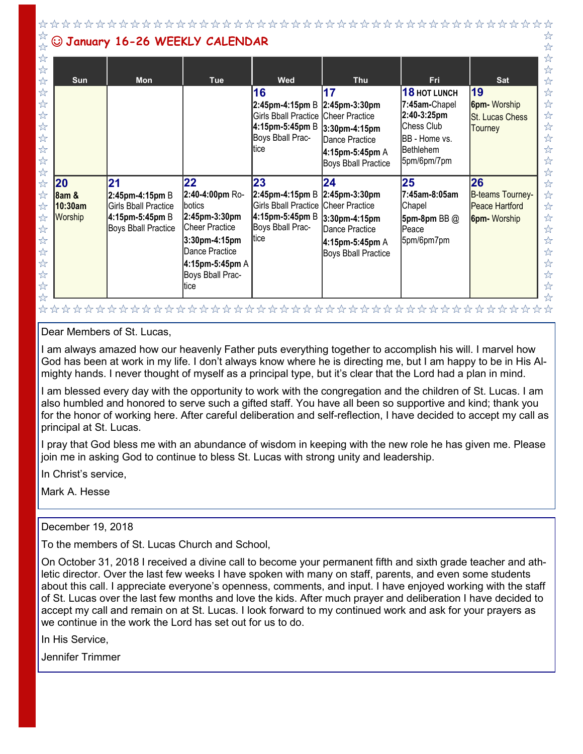$x^2$ ☆ ☺ **January 16-26 WEEKLY CALENDAR**  $x^2$  $\frac{1}{2}$  $\stackrel{\wedge}{\bowtie}$  $\frac{1}{2}$  $x^2$  $\frac{1}{2}$  $\frac{1}{2}$  $\frac{1}{2}$ **Sun Mon Tue Wed Thu Fri Sat**  $x^2$ **16 17 18 HOT LUNCH 19**  $\frac{1}{2}$  $\stackrel{\wedge}{\sim}$ **2:45pm-4:15pm** B **2:45pm-3:30pm 7:45am-**Chapel **6pm-** Worship ☆  $x^2$ **2:40-3:25pm**  $\overleftrightarrow{\mathcal{L}}$ Girls Bball Practice Cheer Practice St. Lucas Chess  $x^2$ Chess Club  $\frac{1}{2}$ **4:15pm-5:45pm** B **3:30pm-4:15pm Tourney**  $\overleftrightarrow{\mathcal{L}}$  $\frac{1}{2}$ Boys Bball Prac-BB - Home vs. Dance Practice  $\stackrel{\wedge}{\sim}$ ltice  $\frac{1}{2}$ Bethlehem **4:15pm-5:45pm** A  $x^2$ ☆ 5pm/6pm/7pm Boys Bball Practice ☆ ☆ **25**  $x^2$ **20 21 22 23 24 26**  $\overleftrightarrow{\lambda}$ **2:40-4:00pm** Ro-B-teams Tourney- $\stackrel{\wedge}{\bowtie}$ **2:45pm-4:15pm** B **2:45pm-3:30pm 7:45am-8:05am**  ☆ **8am & 2:45pm-4:15pm** B  $x^2$  $\overleftrightarrow{\mathbf{r}}$ **10:30am**  Girls Bball Practice botics Girls Bball Practice Cheer Practice **Chapel** Peace Hartford  $\stackrel{\wedge}{\bowtie}$ Worship **4:15pm-5:45pm** B **2:45pm-3:30pm 4:15pm-5:45pm** B ☆ **3:30pm-4:15pm 5pm-8pm** BB @ **6pm-** Worship Boys Bball Practice Cheer Practice Boys Bball Prac- $\stackrel{\wedge}{\bowtie}$ Dance Practice Peace ☆ tice  $\frac{1}{2}$ **3:30pm-4:15pm**  5pm/6pm7pm ☆ **4:15pm-5:45pm** A  $\frac{1}{2}$ Dance Practice  $\frac{1}{2}$ Boys Bball Practice  $\frac{\lambda}{\lambda}$  $\frac{1}{2}$ **4:15pm-5:45pm** A  $\frac{1}{2}$  $\overleftrightarrow{\mathcal{L}}$ Boys Bball Prac- $\frac{1}{2}$  $\frac{1}{2}$ tice ☆ ☆

Dear Members of St. Lucas,

I am always amazed how our heavenly Father puts everything together to accomplish his will. I marvel how God has been at work in my life. I don't always know where he is directing me, but I am happy to be in His Almighty hands. I never thought of myself as a principal type, but it's clear that the Lord had a plan in mind.

I am blessed every day with the opportunity to work with the congregation and the children of St. Lucas. I am also humbled and honored to serve such a gifted staff. You have all been so supportive and kind; thank you for the honor of working here. After careful deliberation and self-reflection, I have decided to accept my call as principal at St. Lucas.

I pray that God bless me with an abundance of wisdom in keeping with the new role he has given me. Please join me in asking God to continue to bless St. Lucas with strong unity and leadership.

In Christ's service,

Mark A. Hesse

December 19, 2018

To the members of St. Lucas Church and School,

On October 31, 2018 I received a divine call to become your permanent fifth and sixth grade teacher and athletic director. Over the last few weeks I have spoken with many on staff, parents, and even some students about this call. I appreciate everyone's openness, comments, and input. I have enjoyed working with the staff of St. Lucas over the last few months and love the kids. After much prayer and deliberation I have decided to accept my call and remain on at St. Lucas. I look forward to my continued work and ask for your prayers as we continue in the work the Lord has set out for us to do.

In His Service,

Jennifer Trimmer